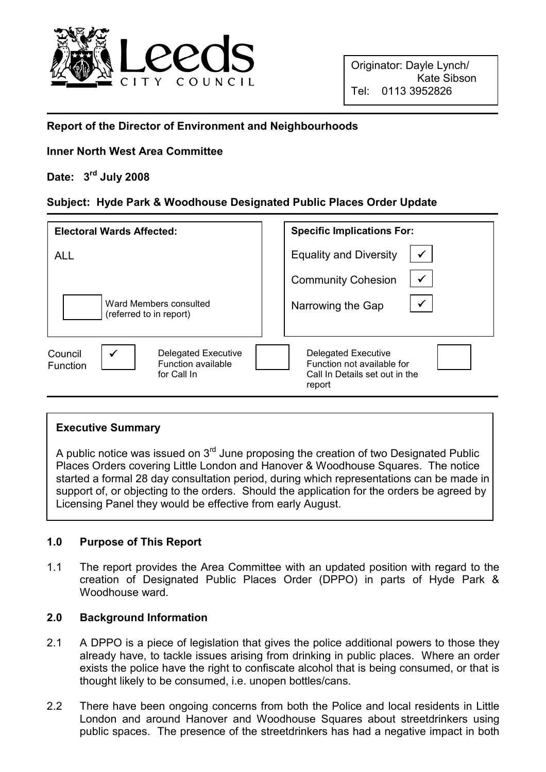

#### Report of the Director of Environment and Neighbourhoods

### Inner North West Area Committee

# Date: 3<sup>rd</sup> July 2008

## Subject: Hyde Park & Woodhouse Designated Public Places Order Update

| <b>Electoral Wards Affected:</b>                                                                                     | <b>Specific Implications For:</b>                                                                    |
|----------------------------------------------------------------------------------------------------------------------|------------------------------------------------------------------------------------------------------|
| <b>ALL</b>                                                                                                           | $\checkmark$<br><b>Equality and Diversity</b>                                                        |
|                                                                                                                      | $\checkmark$<br><b>Community Cohesion</b>                                                            |
| Ward Members consulted<br>(referred to in report)                                                                    | $\checkmark$<br>Narrowing the Gap                                                                    |
| $\checkmark$<br><b>Delegated Executive</b><br>Council<br><b>Function available</b><br><b>Function</b><br>for Call In | <b>Delegated Executive</b><br>Function not available for<br>Call In Details set out in the<br>report |

#### Executive Summary

A public notice was issued on  $3<sup>rd</sup>$  June proposing the creation of two Designated Public Places Orders covering Little London and Hanover & Woodhouse Squares. The notice started a formal 28 day consultation period, during which representations can be made in support of, or objecting to the orders. Should the application for the orders be agreed by Licensing Panel they would be effective from early August.

#### 1.0 Purpose of This Report

1.1 The report provides the Area Committee with an updated position with regard to the creation of Designated Public Places Order (DPPO) in parts of Hyde Park & Woodhouse ward.

### 2.0 Background Information

- 2.1 A DPPO is a piece of legislation that gives the police additional powers to those they already have, to tackle issues arising from drinking in public places. Where an order exists the police have the right to confiscate alcohol that is being consumed, or that is thought likely to be consumed, i.e. unopen bottles/cans.
- 2.2 There have been ongoing concerns from both the Police and local residents in Little London and around Hanover and Woodhouse Squares about streetdrinkers using public spaces. The presence of the streetdrinkers has had a negative impact in both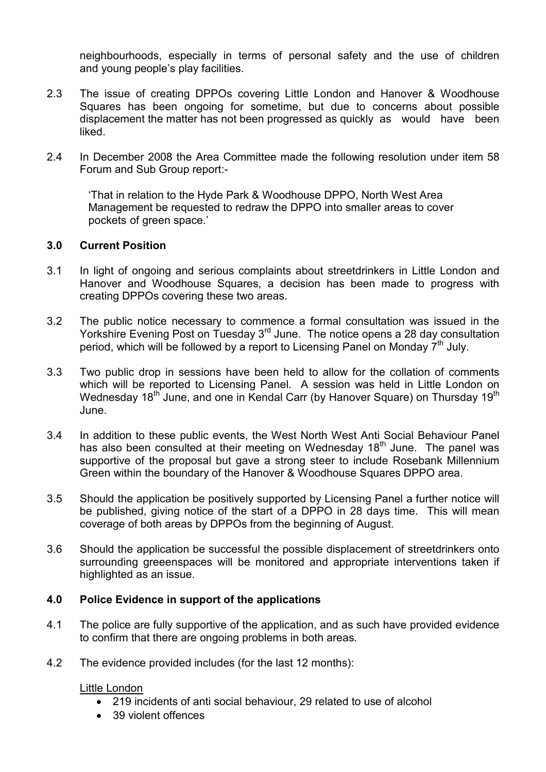neighbourhoods, especially in terms of personal safety and the use of children and young people's play facilities.

- 2.3 The issue of creating DPPOs covering Little London and Hanover & Woodhouse Squares has been ongoing for sometime, but due to concerns about possible displacement the matter has not been progressed as quickly as would have been liked.
- 2.4 In December 2008 the Area Committee made the following resolution under item 58 Forum and Sub Group report:-

 'That in relation to the Hyde Park & Woodhouse DPPO, North West Area Management be requested to redraw the DPPO into smaller areas to cover pockets of green space.'

#### 3.0 Current Position

- 3.1 In light of ongoing and serious complaints about streetdrinkers in Little London and Hanover and Woodhouse Squares, a decision has been made to progress with creating DPPOs covering these two areas.
- 3.2 The public notice necessary to commence a formal consultation was issued in the Yorkshire Evening Post on Tuesday 3<sup>rd</sup> June. The notice opens a 28 day consultation period, which will be followed by a report to Licensing Panel on Monday  $7<sup>th</sup>$  July.
- 3.3 Two public drop in sessions have been held to allow for the collation of comments which will be reported to Licensing Panel. A session was held in Little London on Wednesday 18<sup>th</sup> June, and one in Kendal Carr (by Hanover Square) on Thursday 19<sup>th</sup> June.
- 3.4 In addition to these public events, the West North West Anti Social Behaviour Panel has also been consulted at their meeting on Wednesday 18<sup>th</sup> June. The panel was supportive of the proposal but gave a strong steer to include Rosebank Millennium Green within the boundary of the Hanover & Woodhouse Squares DPPO area.
- 3.5 Should the application be positively supported by Licensing Panel a further notice will be published, giving notice of the start of a DPPO in 28 days time. This will mean coverage of both areas by DPPOs from the beginning of August.
- 3.6 Should the application be successful the possible displacement of streetdrinkers onto surrounding greeenspaces will be monitored and appropriate interventions taken if highlighted as an issue.

### 4.0 Police Evidence in support of the applications

- 4.1 The police are fully supportive of the application, and as such have provided evidence to confirm that there are ongoing problems in both areas.
- 4.2 The evidence provided includes (for the last 12 months):

#### Little London

- 219 incidents of anti social behaviour, 29 related to use of alcohol
- 39 violent offences